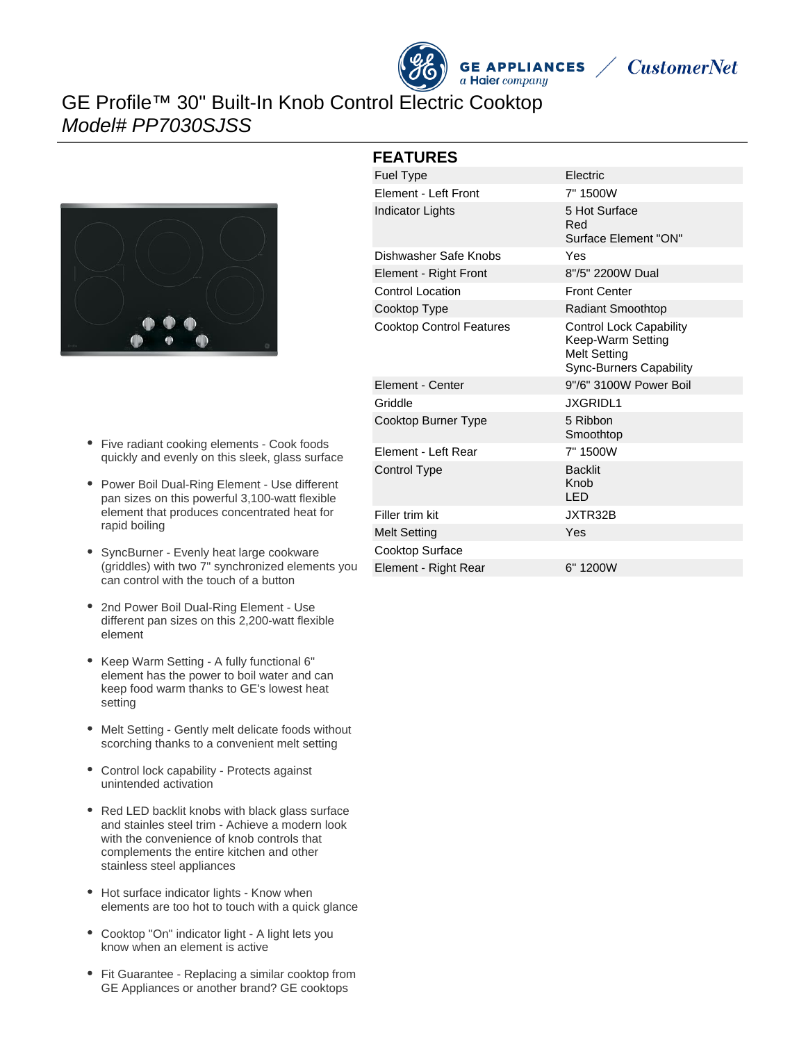



## GE Profile™ 30" Built-In Knob Control Electric Cooktop Model# PP7030SJSS



- Five radiant cooking elements Cook foods quickly and evenly on this sleek, glass surface
- Power Boil Dual-Ring Element Use different pan sizes on this powerful 3,100-watt flexible element that produces concentrated heat for rapid boiling
- SyncBurner Evenly heat large cookware (griddles) with two 7" synchronized elements you can control with the touch of a button
- $\bullet$ 2nd Power Boil Dual-Ring Element - Use different pan sizes on this 2,200-watt flexible element
- Keep Warm Setting A fully functional 6" element has the power to boil water and can keep food warm thanks to GE's lowest heat setting
- Melt Setting Gently melt delicate foods without scorching thanks to a convenient melt setting
- Control lock capability Protects against unintended activation
- Red LED backlit knobs with black glass surface and stainles steel trim - Achieve a modern look with the convenience of knob controls that complements the entire kitchen and other stainless steel appliances
- Hot surface indicator lights Know when elements are too hot to touch with a quick glance
- Cooktop "On" indicator light A light lets you know when an element is active
- Fit Guarantee Replacing a similar cooktop from GE Appliances or another brand? GE cooktops

#### **FEATURES**

| Fuel Type                       | Electric                                                                                                     |
|---------------------------------|--------------------------------------------------------------------------------------------------------------|
| Element - Left Front            | 7" 1500W                                                                                                     |
| <b>Indicator Lights</b>         | 5 Hot Surface<br>Red<br>Surface Element "ON"                                                                 |
| Dishwasher Safe Knobs           | Yes                                                                                                          |
| Element - Right Front           | 8"/5" 2200W Dual                                                                                             |
| <b>Control Location</b>         | <b>Front Center</b>                                                                                          |
| Cooktop Type                    | <b>Radiant Smoothtop</b>                                                                                     |
| <b>Cooktop Control Features</b> | <b>Control Lock Capability</b><br>Keep-Warm Setting<br><b>Melt Setting</b><br><b>Sync-Burners Capability</b> |
| <b>Element - Center</b>         | 9"/6" 3100W Power Boil                                                                                       |
| Griddle                         | <b>JXGRIDL1</b>                                                                                              |
| Cooktop Burner Type             | 5 Ribbon<br>Smoothtop                                                                                        |
| <b>Element - Left Rear</b>      | 7" 1500W                                                                                                     |
| Control Type                    | <b>Backlit</b><br>Knob<br>LED.                                                                               |
| Filler trim kit                 | JXTR32B                                                                                                      |
| <b>Melt Setting</b>             | Yes                                                                                                          |
| Cooktop Surface                 |                                                                                                              |
| Element - Right Rear            | 6" 1200W                                                                                                     |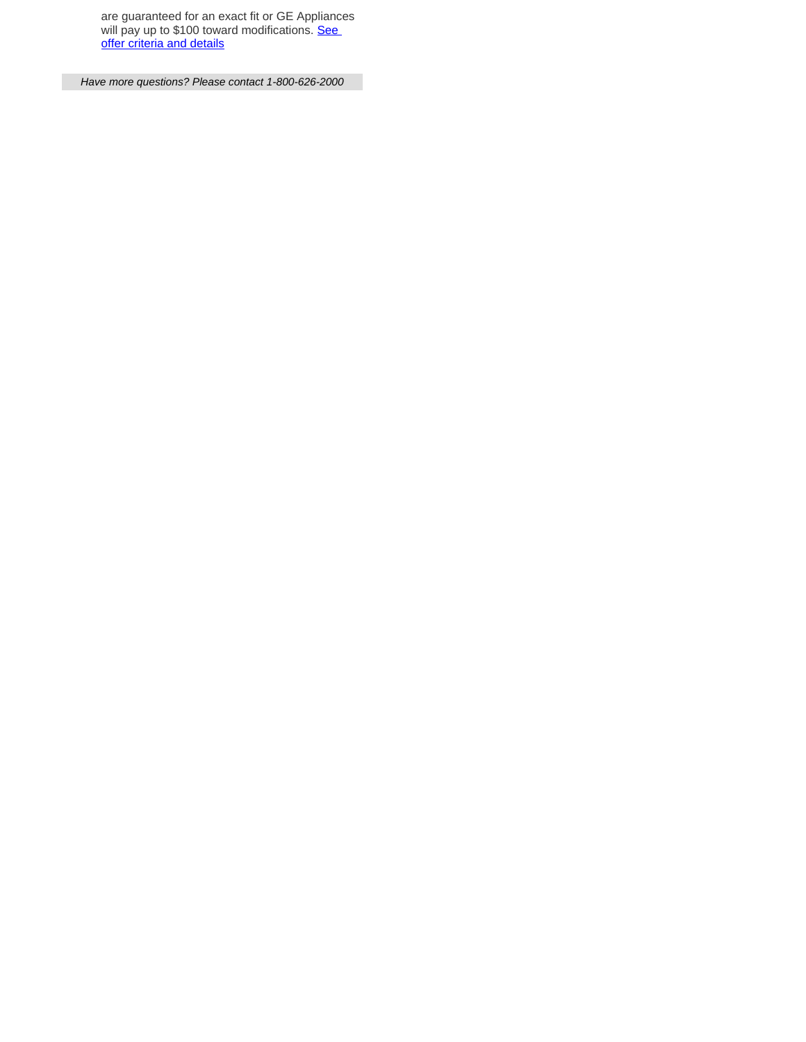are guaranteed for an exact fit or GE Appliances will pay up to \$100 toward modifications. **See** [offer criteria and details](http://www.geappliances.com/ge/cooktops/built_in_cooktop_rebate.pdf)

Have more questions? Please contact 1-800-626-2000